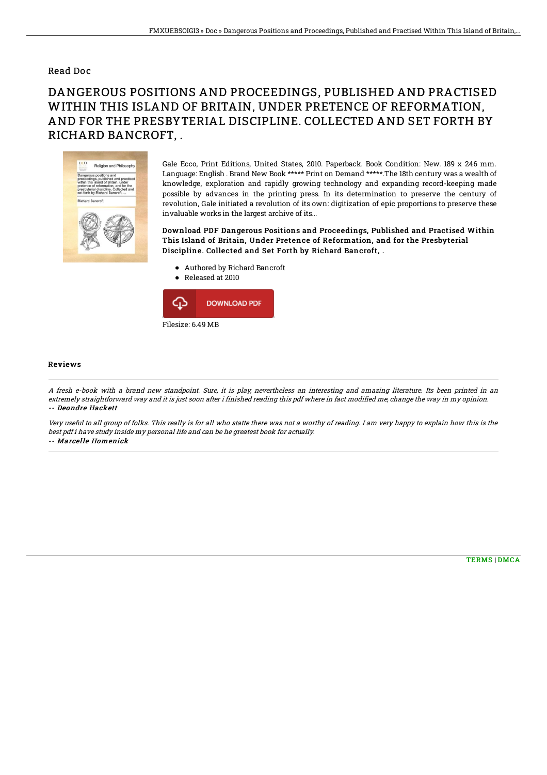## Read Doc

## DANGEROUS POSITIONS AND PROCEEDINGS, PUBLISHED AND PRACTISED WITHIN THIS ISLAND OF BRITAIN, UNDER PRETENCE OF REFORMATION, AND FOR THE PRESBYTERIAL DISCIPLINE. COLLECTED AND SET FORTH BY RICHARD BANCROFT, .



Gale Ecco, Print Editions, United States, 2010. Paperback. Book Condition: New. 189 x 246 mm. Language: English . Brand New Book \*\*\*\*\* Print on Demand \*\*\*\*\*.The 18th century was a wealth of knowledge, exploration and rapidly growing technology and expanding record-keeping made possible by advances in the printing press. In its determination to preserve the century of revolution, Gale initiated a revolution of its own: digitization of epic proportions to preserve these invaluable works in the largest archive of its...

Download PDF Dangerous Positions and Proceedings, Published and Practised Within This Island of Britain, Under Pretence of Reformation, and for the Presbyterial Discipline. Collected and Set Forth by Richard Bancroft, .

- Authored by Richard Bancroft
- Released at 2010



## Reviews

A fresh e-book with <sup>a</sup> brand new standpoint. Sure, it is play, nevertheless an interesting and amazing literature. Its been printed in an extremely straightforward way and it is just soon after i finished reading this pdf where in fact modified me, change the way in my opinion. -- Deondre Hackett

Very useful to all group of folks. This really is for all who statte there was not <sup>a</sup> worthy of reading. I am very happy to explain how this is the best pdf i have study inside my personal life and can be he greatest book for actually. -- Marcelle Homenick